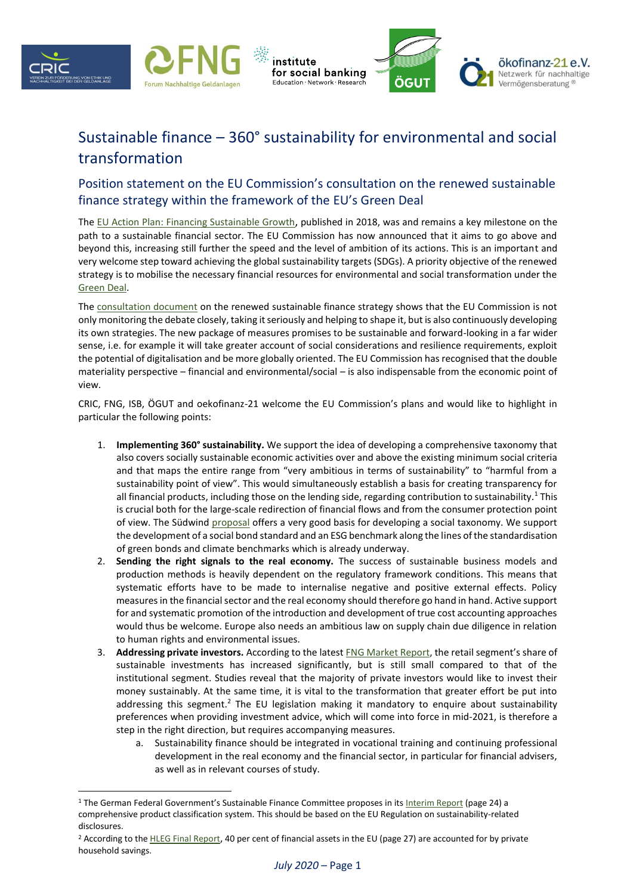





## Sustainable finance – 360° sustainability for environmental and social transformation

institute

## Position statement on the EU Commission's consultation on the renewed sustainable finance strategy within the framework of the EU's Green Deal

The [EU Action Plan:](https://eur-lex.europa.eu/legal-content/EN/TXT/PDF/?uri=CELEX:52018DC0097&from=EN) [Financing Sustainable Growth](https://eur-lex.europa.eu/legal-content/EN/TXT/PDF/?uri=CELEX:52018DC0097&from=EN), published in 2018, was and remains a key milestone on the path to a sustainable financial sector. The EU Commission has now announced that it aims to go above and beyond this, increasing still further the speed and the level of ambition of its actions. This is an important and very welcome step toward achieving the global sustainability targets (SDGs). A priority objective of the renewed strategy is to mobilise the necessary financial resources for environmental and social transformation under the [Green Deal.](https://eur-lex.europa.eu/resource.html?uri=cellar:b828d165-1c22-11ea-8c1f-01aa75ed71a1.0002.02/DOC_1&format=PDF)

The [consultation document](https://ec.europa.eu/info/sites/info/files/business_economy_euro/banking_and_finance/documents/2020-sustainable-finance-strategy-consultation-document_en.pdf) on the renewed sustainable finance strategy shows that the EU Commission is not only monitoring the debate closely, taking it seriously and helping to shape it, but is also continuously developing its own strategies. The new package of measures promises to be sustainable and forward-looking in a far wider sense, i.e. for example it will take greater account of social considerations and resilience requirements, exploit the potential of digitalisation and be more globally oriented. The EU Commission has recognised that the double materiality perspective – financial and environmental/social – is also indispensable from the economic point of view.

CRIC, FNG, ISB, ÖGUT and oekofinanz-21 welcome the EU Commission's plans and would like to highlight in particular the following points:

- 1. **Implementing 360° sustainability.** We support the idea of developing a comprehensive taxonomy that also covers socially sustainable economic activities over and above the existing minimum social criteria and that maps the entire range from "very ambitious in terms of sustainability" to "harmful from a sustainability point of view". This would simultaneously establish a basis for creating transparency for all financial products, including those on the lending side, regarding contribution to sustainability.<sup>1</sup> This is crucial both for the large-scale redirection of financial flows and from the consumer protection point of view. The Südwind [proposal](https://www.suedwind-institut.de/files/Suedwind/Publikationen/2020/2020-14%20Human%20Rights%20Are%20Investors%20Obligations.pdf) offers a very good basis for developing a social taxonomy. We support the development of a social bond standard and an ESG benchmark along the lines of the standardisation of green bonds and climate benchmarks which is already underway.
- 2. **Sending the right signals to the real economy.** The success of sustainable business models and production methods is heavily dependent on the regulatory framework conditions. This means that systematic efforts have to be made to internalise negative and positive external effects. Policy measures in the financial sector and the real economy should therefore go hand in hand. Active support for and systematic promotion of the introduction and development of true cost accounting approaches would thus be welcome. Europe also needs an ambitious law on supply chain due diligence in relation to human rights and environmental issues.
- 3. **Addressing private investors.** According to the lates[t FNG Market Report](https://fng-marktbericht.org/), the retail segment's share of sustainable investments has increased significantly, but is still small compared to that of the institutional segment. Studies reveal that the majority of private investors would like to invest their money sustainably. At the same time, it is vital to the transformation that greater effort be put into addressing this segment.<sup>2</sup> The EU legislation making it mandatory to enquire about sustainability preferences when providing investment advice, which will come into force in mid-2021, is therefore a step in the right direction, but requires accompanying measures.
	- a. Sustainability finance should be integrated in vocational training and continuing professional development in the real economy and the financial sector, in particular for financial advisers, as well as in relevant courses of study.

<sup>&</sup>lt;sup>1</sup> The German Federal Government's Sustainable Finance Committee proposes in its [Interim Report](https://sustainable-finance-beirat.de/wp-content/uploads/2020/03/200306_SFB-Zwischenbericht_EN.pdf) (page 24) a comprehensive product classification system. This should be based on the EU Regulation on sustainability-related disclosures.

<sup>&</sup>lt;sup>2</sup> According to the **HLEG Final Report**, 40 per cent of financial assets in the EU (page 27) are accounted for by private household savings.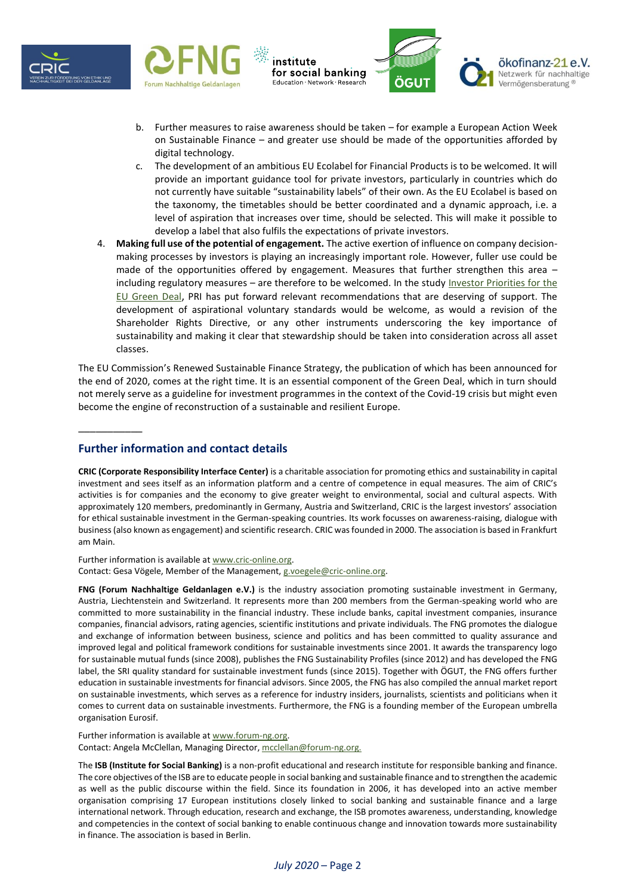





- b. Further measures to raise awareness should be taken for example a European Action Week on Sustainable Finance – and greater use should be made of the opportunities afforded by digital technology.
- c. The development of an ambitious EU Ecolabel for Financial Products is to be welcomed. It will provide an important guidance tool for private investors, particularly in countries which do not currently have suitable "sustainability labels" of their own. As the EU Ecolabel is based on the taxonomy, the timetables should be better coordinated and a dynamic approach, i.e. a level of aspiration that increases over time, should be selected. This will make it possible to develop a label that also fulfils the expectations of private investors.
- 4. **Making full use of the potential of engagement.** The active exertion of influence on company decisionmaking processes by investors is playing an increasingly important role. However, fuller use could be made of the opportunities offered by engagement. Measures that further strengthen this area – including regulatory measures – are therefore to be welcomed. In the study Investor Priorities for the [EU Green Deal](https://www.unpri.org/sustainable-markets/investor-priorities-for-the-eu-green-deal/5710.article), PRI has put forward relevant recommendations that are deserving of support. The development of aspirational voluntary standards would be welcome, as would a revision of the Shareholder Rights Directive, or any other instruments underscoring the key importance of sustainability and making it clear that stewardship should be taken into consideration across all asset classes.

The EU Commission's Renewed Sustainable Finance Strategy, the publication of which has been announced for the end of 2020, comes at the right time. It is an essential component of the Green Deal, which in turn should not merely serve as a guideline for investment programmes in the context of the Covid-19 crisis but might even become the engine of reconstruction of a sustainable and resilient Europe.

## **Further information and contact details**

\_\_\_\_\_\_\_\_\_\_\_

**CRIC (Corporate Responsibility Interface Center)** is a charitable association for promoting ethics and sustainability in capital investment and sees itself as an information platform and a centre of competence in equal measures. The aim of CRIC's activities is for companies and the economy to give greater weight to environmental, social and cultural aspects. With approximately 120 members, predominantly in Germany, Austria and Switzerland, CRIC is the largest investors' association for ethical sustainable investment in the German-speaking countries. Its work focusses on awareness-raising, dialogue with business (also known as engagement) and scientific research. CRIC was founded in 2000. The association is based in Frankfurt am Main.

## Further information is available at [www.cric-online.org.](http://www.cric-online.org/)

Contact: Gesa Vögele, Member of the Management, [g.voegele@cric-online.org.](mailto:g.voegele@cric-online.org)

**FNG (Forum Nachhaltige Geldanlagen e.V.)** is the industry association promoting sustainable investment in Germany, Austria, Liechtenstein and Switzerland. It represents more than 200 members from the German-speaking world who are committed to more sustainability in the financial industry. These include banks, capital investment companies, insurance companies, financial advisors, rating agencies, scientific institutions and private individuals. The FNG promotes the dialogue and exchange of information between business, science and politics and has been committed to quality assurance and improved legal and political framework conditions for sustainable investments since 2001. It awards the transparency logo for sustainable mutual funds (since 2008), publishes the FNG Sustainability Profiles (since 2012) and has developed the FNG label, the SRI quality standard for sustainable investment funds (since 2015). Together with ÖGUT, the FNG offers further education in sustainable investments for financial advisors. Since 2005, the FNG has also compiled the annual market report on sustainable investments, which serves as a reference for industry insiders, journalists, scientists and politicians when it comes to current data on sustainable investments. Furthermore, the FNG is a founding member of the European umbrella organisation Eurosif.

Further information is available at [www.forum-ng.org.](http://www.forum-ng.org/)  Contact: Angela McClellan, Managing Director[, mcclellan@forum-ng.org.](mailto:mcclellan@forum-ng.org)

The **ISB (Institute for Social Banking)** is a non-profit educational and research institute for responsible banking and finance. The core objectives of the ISB are to educate people in social banking and sustainable finance and to strengthen the academic as well as the public discourse within the field. Since its foundation in 2006, it has developed into an active member organisation comprising 17 European institutions closely linked to social banking and sustainable finance and a large international network. Through education, research and exchange, the ISB promotes awareness, understanding, knowledge and competencies in the context of social banking to enable continuous change and innovation towards more sustainability in finance. The association is based in Berlin.